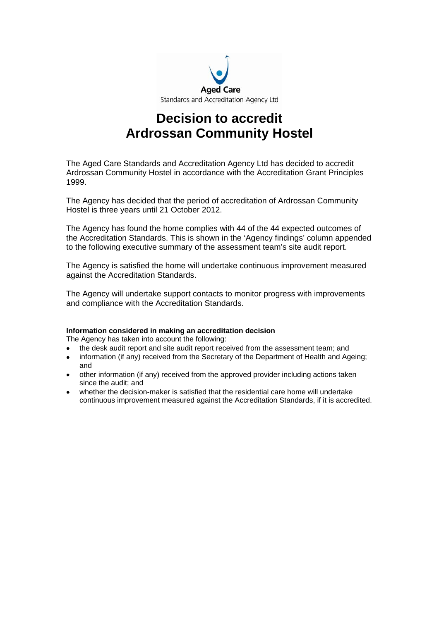

# **Decision to accredit Ardrossan Community Hostel**

The Aged Care Standards and Accreditation Agency Ltd has decided to accredit Ardrossan Community Hostel in accordance with the Accreditation Grant Principles 1999.

The Agency has decided that the period of accreditation of Ardrossan Community Hostel is three years until 21 October 2012.

The Agency has found the home complies with 44 of the 44 expected outcomes of the Accreditation Standards. This is shown in the 'Agency findings' column appended to the following executive summary of the assessment team's site audit report.

The Agency is satisfied the home will undertake continuous improvement measured against the Accreditation Standards.

The Agency will undertake support contacts to monitor progress with improvements and compliance with the Accreditation Standards.

#### **Information considered in making an accreditation decision**

The Agency has taken into account the following:

- the desk audit report and site audit report received from the assessment team; and
- information (if any) received from the Secretary of the Department of Health and Ageing; and
- other information (if any) received from the approved provider including actions taken since the audit; and
- whether the decision-maker is satisfied that the residential care home will undertake continuous improvement measured against the Accreditation Standards, if it is accredited.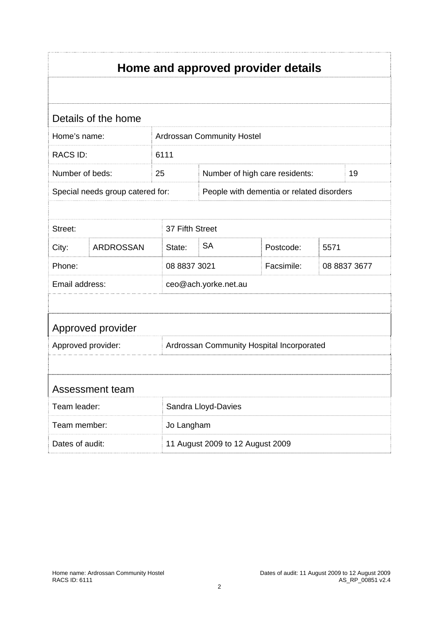| Home and approved provider details |                                  |              |                                           |            |              |  |  |
|------------------------------------|----------------------------------|--------------|-------------------------------------------|------------|--------------|--|--|
|                                    |                                  |              |                                           |            |              |  |  |
|                                    | Details of the home              |              |                                           |            |              |  |  |
| Home's name:                       |                                  |              | Ardrossan Community Hostel                |            |              |  |  |
| <b>RACS ID:</b>                    |                                  | 6111         |                                           |            |              |  |  |
| Number of beds:                    |                                  | 25           | Number of high care residents:            |            | 19           |  |  |
|                                    | Special needs group catered for: |              | People with dementia or related disorders |            |              |  |  |
|                                    |                                  |              |                                           |            |              |  |  |
| Street:                            |                                  |              | 37 Fifth Street                           |            |              |  |  |
| City:                              | <b>ARDROSSAN</b>                 | State:       | <b>SA</b>                                 | Postcode:  | 5571         |  |  |
| Phone:                             |                                  | 08 8837 3021 |                                           | Facsimile: | 08 8837 3677 |  |  |
| Email address:                     |                                  |              | ceo@ach.yorke.net.au                      |            |              |  |  |
|                                    |                                  |              |                                           |            |              |  |  |
|                                    | Approved provider                |              |                                           |            |              |  |  |
| Approved provider:                 |                                  |              | Ardrossan Community Hospital Incorporated |            |              |  |  |
|                                    |                                  |              |                                           |            |              |  |  |
|                                    | Assessment team                  |              |                                           |            |              |  |  |
| Team leader:                       |                                  |              | Sandra Lloyd-Davies                       |            |              |  |  |
| Team member:                       |                                  |              | Jo Langham                                |            |              |  |  |
| Dates of audit:                    |                                  |              | 11 August 2009 to 12 August 2009          |            |              |  |  |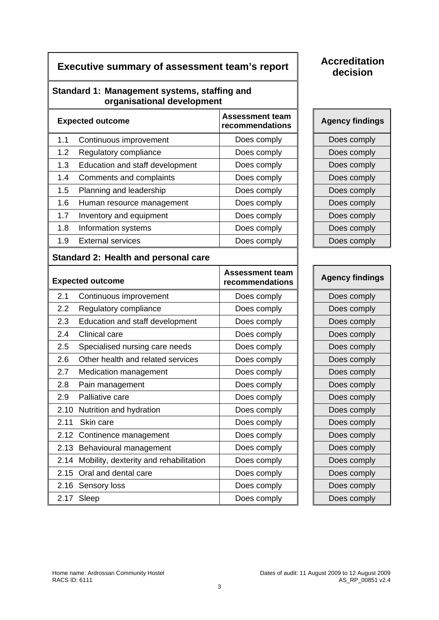# **Executive summary of assessment team's report | Accreditation**

# **Standard 1: Management systems, staffing and organisational development**

| <b>Expected outcome</b> |                                 | <b>Assessment team</b><br>recommendations | <b>Agency findings</b> |
|-------------------------|---------------------------------|-------------------------------------------|------------------------|
| 1.1                     | Continuous improvement          | Does comply                               | Does comply            |
| 1.2                     | Regulatory compliance           | Does comply                               | Does comply            |
| 1.3                     | Education and staff development | Does comply                               | Does comply            |
| 1.4                     | Comments and complaints         | Does comply                               | Does comply            |
| 1.5                     | Planning and leadership         | Does comply                               | Does comply            |
| 1.6                     | Human resource management       | Does comply                               | Does comply            |
| 1.7                     | Inventory and equipment         | Does comply                               | Does comply            |
| 1.8                     | Information systems             | Does comply                               | Does comply            |
| 1.9                     | <b>External services</b>        | Does comply                               | Does comply            |

# **Standard 2: Health and personal care**

| <b>Expected outcome</b> |                                        | <b>Assessment team</b><br>recommendations | <b>Agency findings</b> |
|-------------------------|----------------------------------------|-------------------------------------------|------------------------|
| 2.1                     | Continuous improvement                 | Does comply                               | Does comply            |
| 2.2                     | Regulatory compliance                  | Does comply                               | Does comply            |
| 2.3                     | Education and staff development        | Does comply                               | Does comply            |
| 2.4                     | Clinical care                          | Does comply                               | Does comply            |
| 2.5                     | Specialised nursing care needs         | Does comply                               | Does comply            |
| 2.6                     | Other health and related services      | Does comply                               | Does comply            |
| 2.7                     | Medication management                  | Does comply                               | Does comply            |
| 2.8                     | Pain management                        | Does comply                               | Does comply            |
| 2.9                     | Palliative care                        | Does comply                               | Does comply            |
| 2.10                    | Nutrition and hydration                | Does comply                               | Does comply            |
| 2.11                    | Skin care                              | Does comply                               | Does comply            |
|                         | 2.12 Continence management             | Does comply                               | Does comply            |
|                         | 2.13 Behavioural management            | Does comply                               | Does comply            |
| 2.14                    | Mobility, dexterity and rehabilitation | Does comply                               | Does comply            |
| 2.15                    | Oral and dental care                   | Does comply                               | Does comply            |
|                         | 2.16 Sensory loss                      | Does comply                               | Does comply            |
| 2.17                    | Sleep                                  | Does comply                               | Does comply            |

# **decision**

| <b>Agency findings</b> |
|------------------------|
| Does comply            |
| Does comply            |
| Does comply            |
| Does comply            |
| Does comply            |
| Does comply            |
| Does comply            |
| Does comply            |
| Does comply            |

| <b>Agency findings</b> |
|------------------------|
| Does comply            |
| Does comply            |
| Does comply            |
| Does comply            |
| Does comply            |
| Does comply            |
| Does comply            |
| Does comply            |
| Does comply            |
| Does comply            |
| Does comply            |
| Does comply            |
| Does comply            |
| Does comply            |
| Does comply            |
| Does comply            |
| Does comply            |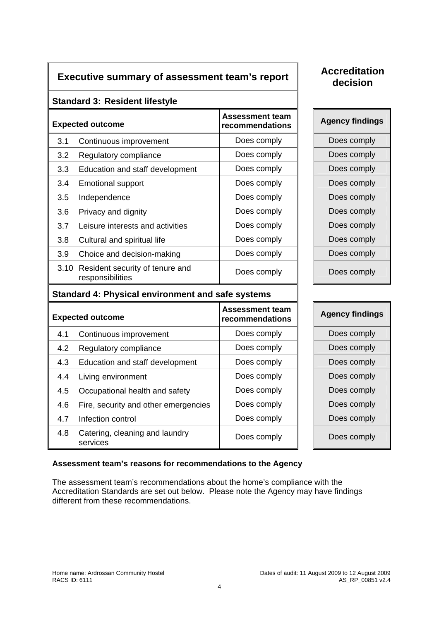# **Executive summary of assessment team's report <br>
<b>Accreditation**

# **decision**

# **Standard 3: Resident lifestyle**

| <b>Expected outcome</b> |                                                          | <b>Assessment team</b><br>recommendations | <b>Agency findings</b> |
|-------------------------|----------------------------------------------------------|-------------------------------------------|------------------------|
| 3.1                     | Continuous improvement                                   | Does comply                               | Does comply            |
| 3.2                     | Regulatory compliance                                    | Does comply                               | Does comply            |
| 3.3                     | Education and staff development                          | Does comply                               | Does comply            |
| 3.4                     | <b>Emotional support</b>                                 | Does comply                               | Does comply            |
| 3.5                     | Independence                                             | Does comply                               | Does comply            |
| 3.6                     | Privacy and dignity                                      | Does comply                               | Does comply            |
| 3.7                     | Leisure interests and activities                         | Does comply                               | Does comply            |
| 3.8                     | Cultural and spiritual life                              | Does comply                               | Does comply            |
| 3.9                     | Choice and decision-making                               | Does comply                               | Does comply            |
|                         | 3.10 Resident security of tenure and<br>responsibilities | Does comply                               | Does comply            |

| <b>Agency findings</b> |
|------------------------|
| Does comply            |
| Does comply            |
| Does comply            |
| Does comply            |
| Does comply            |
| Does comply            |
| Does comply            |
| Does comply            |
| Does comply            |
| Does comply            |

# **Standard 4: Physical environment and safe systems**

|     | <b>Expected outcome</b>                    | <b>Assessment team</b><br>recommendations | <b>Agency findings</b> |
|-----|--------------------------------------------|-------------------------------------------|------------------------|
| 4.1 | Continuous improvement                     | Does comply                               | Does comply            |
| 4.2 | Regulatory compliance                      | Does comply                               | Does comply            |
| 4.3 | Education and staff development            | Does comply                               | Does comply            |
| 4.4 | Living environment                         | Does comply                               | Does comply            |
| 4.5 | Occupational health and safety             | Does comply                               | Does comply            |
| 4.6 | Fire, security and other emergencies       | Does comply                               | Does comply            |
| 4.7 | Infection control                          | Does comply                               | Does comply            |
| 4.8 | Catering, cleaning and laundry<br>services | Does comply                               | Does comply            |

| <b>Agency findings</b> |
|------------------------|
| Does comply            |
| Does comply            |
| Does comply            |
| Does comply            |
| Does comply            |
| Does comply            |
| Does comply            |
| Does comply            |

# **Assessment team's reasons for recommendations to the Agency**

The assessment team's recommendations about the home's compliance with the Accreditation Standards are set out below. Please note the Agency may have findings different from these recommendations.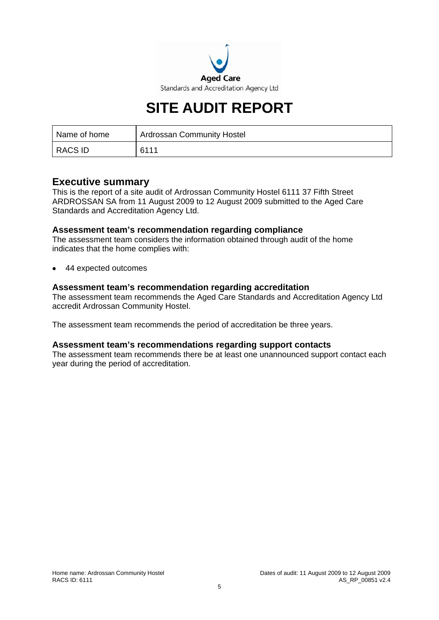

# **SITE AUDIT REPORT**

| Name of home   | <b>Ardrossan Community Hostel</b> |
|----------------|-----------------------------------|
| <b>RACS ID</b> | 6111                              |

# **Executive summary**

This is the report of a site audit of Ardrossan Community Hostel 6111 37 Fifth Street ARDROSSAN SA from 11 August 2009 to 12 August 2009 submitted to the Aged Care Standards and Accreditation Agency Ltd.

#### **Assessment team's recommendation regarding compliance**

The assessment team considers the information obtained through audit of the home indicates that the home complies with:

• 44 expected outcomes

#### **Assessment team's recommendation regarding accreditation**

The assessment team recommends the Aged Care Standards and Accreditation Agency Ltd accredit Ardrossan Community Hostel.

The assessment team recommends the period of accreditation be three years.

#### **Assessment team's recommendations regarding support contacts**

The assessment team recommends there be at least one unannounced support contact each year during the period of accreditation.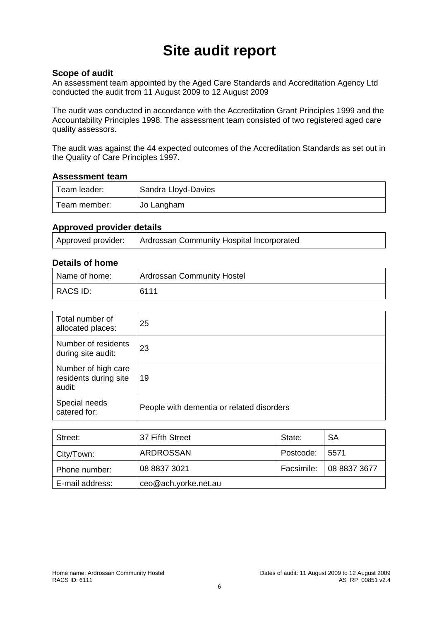# **Site audit report**

# **Scope of audit**

An assessment team appointed by the Aged Care Standards and Accreditation Agency Ltd conducted the audit from 11 August 2009 to 12 August 2009

The audit was conducted in accordance with the Accreditation Grant Principles 1999 and the Accountability Principles 1998. The assessment team consisted of two registered aged care quality assessors.

The audit was against the 44 expected outcomes of the Accreditation Standards as set out in the Quality of Care Principles 1997.

#### **Assessment team**

| Team leader: | Sandra Lloyd-Davies |
|--------------|---------------------|
| Team member: | Jo Langham          |

# **Approved provider details**

| Approved provider: | Ardrossan Community Hospital Incorporated |
|--------------------|-------------------------------------------|
|                    |                                           |

#### **Details of home**

| Name of home: | <b>Ardrossan Community Hostel</b> |
|---------------|-----------------------------------|
| RACS ID:      | 6111                              |

| Total number of<br>allocated places:                   | 25                                        |
|--------------------------------------------------------|-------------------------------------------|
| Number of residents<br>during site audit:              | 23                                        |
| Number of high care<br>residents during site<br>audit: | 19                                        |
| Special needs<br>catered for:                          | People with dementia or related disorders |

| Street:         | 37 Fifth Street      | State:          | <b>SA</b>                 |
|-----------------|----------------------|-----------------|---------------------------|
| City/Town:      | <b>ARDROSSAN</b>     | Postcode: 15571 |                           |
| Phone number:   | 08 8837 3021         |                 | Facsimile:   08 8837 3677 |
| E-mail address: | ceo@ach.yorke.net.au |                 |                           |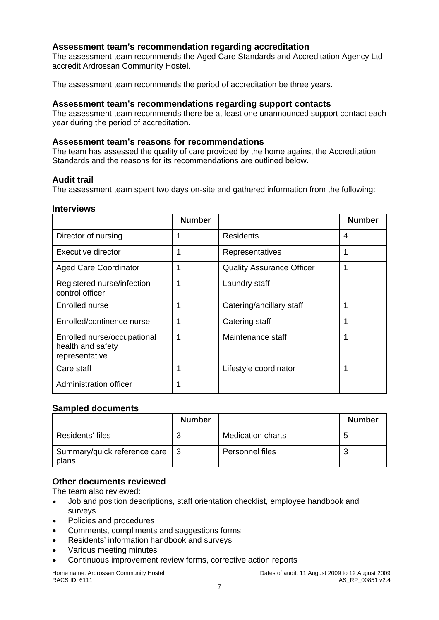# **Assessment team's recommendation regarding accreditation**

The assessment team recommends the Aged Care Standards and Accreditation Agency Ltd accredit Ardrossan Community Hostel.

The assessment team recommends the period of accreditation be three years.

#### **Assessment team's recommendations regarding support contacts**

The assessment team recommends there be at least one unannounced support contact each year during the period of accreditation.

#### **Assessment team's reasons for recommendations**

The team has assessed the quality of care provided by the home against the Accreditation Standards and the reasons for its recommendations are outlined below.

#### **Audit trail**

The assessment team spent two days on-site and gathered information from the following:

#### **Interviews**

|                                                                    | <b>Number</b> |                                  | <b>Number</b> |
|--------------------------------------------------------------------|---------------|----------------------------------|---------------|
| Director of nursing                                                |               | <b>Residents</b>                 | 4             |
| Executive director                                                 | 1             | Representatives                  | 1             |
| <b>Aged Care Coordinator</b>                                       | 1             | <b>Quality Assurance Officer</b> | 1             |
| Registered nurse/infection<br>control officer                      | 1             | Laundry staff                    |               |
| Enrolled nurse                                                     | 1             | Catering/ancillary staff         | 1             |
| Enrolled/continence nurse                                          | 1             | Catering staff                   | 1             |
| Enrolled nurse/occupational<br>health and safety<br>representative | 1             | Maintenance staff                | 1             |
| Care staff                                                         | 1             | Lifestyle coordinator            | 1             |
| <b>Administration officer</b>                                      | 1             |                                  |               |

# **Sampled documents**

|                                       | <b>Number</b> |                          | <b>Number</b> |
|---------------------------------------|---------------|--------------------------|---------------|
| Residents' files                      |               | <b>Medication charts</b> |               |
| Summary/quick reference care<br>plans |               | Personnel files          |               |

#### **Other documents reviewed**

The team also reviewed:

- Job and position descriptions, staff orientation checklist, employee handbook and surveys
- Policies and procedures
- Comments, compliments and suggestions forms
- Residents' information handbook and surveys
- Various meeting minutes
- Continuous improvement review forms, corrective action reports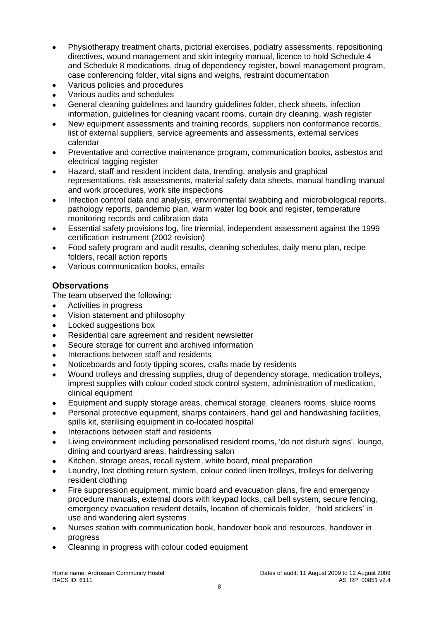- Physiotherapy treatment charts, pictorial exercises, podiatry assessments, repositioning directives, wound management and skin integrity manual, licence to hold Schedule 4 and Schedule 8 medications, drug of dependency register, bowel management program, case conferencing folder, vital signs and weighs, restraint documentation
- Various policies and procedures
- Various audits and schedules
- General cleaning guidelines and laundry guidelines folder, check sheets, infection information, guidelines for cleaning vacant rooms, curtain dry cleaning, wash register
- New equipment assessments and training records, suppliers non conformance records, list of external suppliers, service agreements and assessments, external services calendar
- Preventative and corrective maintenance program, communication books, asbestos and electrical tagging register
- Hazard, staff and resident incident data, trending, analysis and graphical representations, risk assessments, material safety data sheets, manual handling manual and work procedures, work site inspections
- Infection control data and analysis, environmental swabbing and microbiological reports, pathology reports, pandemic plan, warm water log book and register, temperature monitoring records and calibration data
- Essential safety provisions log, fire triennial, independent assessment against the 1999 certification instrument (2002 revision)
- Food safety program and audit results, cleaning schedules, daily menu plan, recipe folders, recall action reports
- Various communication books, emails

# **Observations**

The team observed the following:

- Activities in progress
- Vision statement and philosophy
- Locked suggestions box
- Residential care agreement and resident newsletter
- Secure storage for current and archived information
- Interactions between staff and residents
- Noticeboards and footy tipping scores, crafts made by residents
- Wound trolleys and dressing supplies, drug of dependency storage, medication trolleys, imprest supplies with colour coded stock control system, administration of medication, clinical equipment
- Equipment and supply storage areas, chemical storage, cleaners rooms, sluice rooms
- Personal protective equipment, sharps containers, hand gel and handwashing facilities, spills kit, sterilising equipment in co-located hospital
- Interactions between staff and residents
- Living environment including personalised resident rooms, 'do not disturb signs', lounge, dining and courtyard areas, hairdressing salon
- Kitchen, storage areas, recall system, white board, meal preparation
- Laundry, lost clothing return system, colour coded linen trolleys, trolleys for delivering resident clothing
- Fire suppression equipment, mimic board and evacuation plans, fire and emergency procedure manuals, external doors with keypad locks, call bell system, secure fencing, emergency evacuation resident details, location of chemicals folder, 'hold stickers' in use and wandering alert systems
- Nurses station with communication book, handover book and resources, handover in progress
- Cleaning in progress with colour coded equipment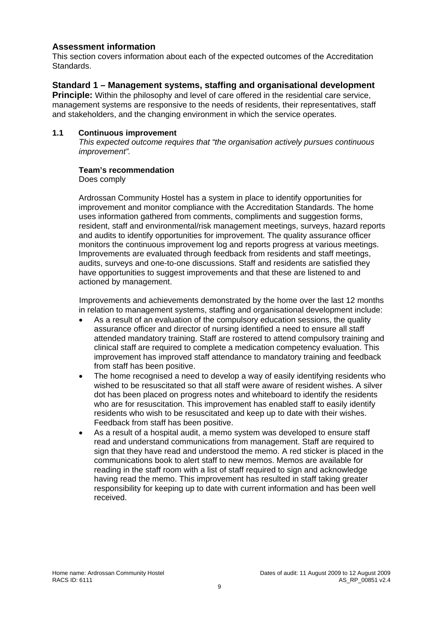# **Assessment information**

This section covers information about each of the expected outcomes of the Accreditation Standards.

# **Standard 1 – Management systems, staffing and organisational development**

**Principle:** Within the philosophy and level of care offered in the residential care service. management systems are responsive to the needs of residents, their representatives, staff and stakeholders, and the changing environment in which the service operates.

#### **1.1 Continuous improvement**

*This expected outcome requires that "the organisation actively pursues continuous improvement".* 

#### **Team's recommendation**

Does comply

Ardrossan Community Hostel has a system in place to identify opportunities for improvement and monitor compliance with the Accreditation Standards. The home uses information gathered from comments, compliments and suggestion forms, resident, staff and environmental/risk management meetings, surveys, hazard reports and audits to identify opportunities for improvement. The quality assurance officer monitors the continuous improvement log and reports progress at various meetings. Improvements are evaluated through feedback from residents and staff meetings, audits, surveys and one-to-one discussions. Staff and residents are satisfied they have opportunities to suggest improvements and that these are listened to and actioned by management.

Improvements and achievements demonstrated by the home over the last 12 months in relation to management systems, staffing and organisational development include:

- As a result of an evaluation of the compulsory education sessions, the quality assurance officer and director of nursing identified a need to ensure all staff attended mandatory training. Staff are rostered to attend compulsory training and clinical staff are required to complete a medication competency evaluation. This improvement has improved staff attendance to mandatory training and feedback from staff has been positive.
- The home recognised a need to develop a way of easily identifying residents who wished to be resuscitated so that all staff were aware of resident wishes. A silver dot has been placed on progress notes and whiteboard to identify the residents who are for resuscitation. This improvement has enabled staff to easily identify residents who wish to be resuscitated and keep up to date with their wishes. Feedback from staff has been positive.
- As a result of a hospital audit, a memo system was developed to ensure staff read and understand communications from management. Staff are required to sign that they have read and understood the memo. A red sticker is placed in the communications book to alert staff to new memos. Memos are available for reading in the staff room with a list of staff required to sign and acknowledge having read the memo. This improvement has resulted in staff taking greater responsibility for keeping up to date with current information and has been well received.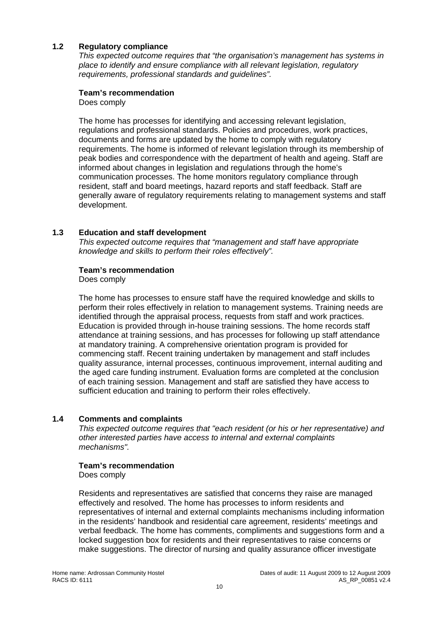#### **1.2 Regulatory compliance**

*This expected outcome requires that "the organisation's management has systems in place to identify and ensure compliance with all relevant legislation, regulatory requirements, professional standards and guidelines".* 

#### **Team's recommendation**

Does comply

The home has processes for identifying and accessing relevant legislation, regulations and professional standards. Policies and procedures, work practices, documents and forms are updated by the home to comply with regulatory requirements. The home is informed of relevant legislation through its membership of peak bodies and correspondence with the department of health and ageing. Staff are informed about changes in legislation and regulations through the home's communication processes. The home monitors regulatory compliance through resident, staff and board meetings, hazard reports and staff feedback. Staff are generally aware of regulatory requirements relating to management systems and staff development.

#### **1.3 Education and staff development**

*This expected outcome requires that "management and staff have appropriate knowledge and skills to perform their roles effectively".* 

#### **Team's recommendation**

Does comply

The home has processes to ensure staff have the required knowledge and skills to perform their roles effectively in relation to management systems. Training needs are identified through the appraisal process, requests from staff and work practices. Education is provided through in-house training sessions. The home records staff attendance at training sessions, and has processes for following up staff attendance at mandatory training. A comprehensive orientation program is provided for commencing staff. Recent training undertaken by management and staff includes quality assurance, internal processes, continuous improvement, internal auditing and the aged care funding instrument. Evaluation forms are completed at the conclusion of each training session. Management and staff are satisfied they have access to sufficient education and training to perform their roles effectively.

# **1.4 Comments and complaints**

*This expected outcome requires that "each resident (or his or her representative) and other interested parties have access to internal and external complaints mechanisms".* 

#### **Team's recommendation**

Does comply

Residents and representatives are satisfied that concerns they raise are managed effectively and resolved. The home has processes to inform residents and representatives of internal and external complaints mechanisms including information in the residents' handbook and residential care agreement, residents' meetings and verbal feedback. The home has comments, compliments and suggestions form and a locked suggestion box for residents and their representatives to raise concerns or make suggestions. The director of nursing and quality assurance officer investigate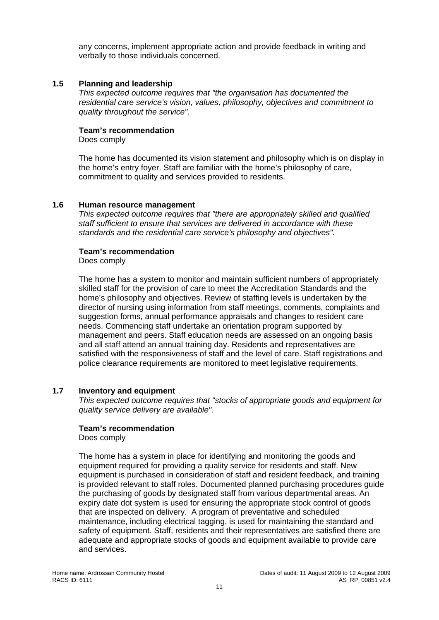any concerns, implement appropriate action and provide feedback in writing and verbally to those individuals concerned.

#### **1.5 Planning and leadership**

*This expected outcome requires that "the organisation has documented the residential care service's vision, values, philosophy, objectives and commitment to quality throughout the service".* 

#### **Team's recommendation**

Does comply

The home has documented its vision statement and philosophy which is on display in the home's entry foyer. Staff are familiar with the home's philosophy of care, commitment to quality and services provided to residents.

#### **1.6 Human resource management**

*This expected outcome requires that "there are appropriately skilled and qualified staff sufficient to ensure that services are delivered in accordance with these standards and the residential care service's philosophy and objectives".* 

#### **Team's recommendation**

Does comply

The home has a system to monitor and maintain sufficient numbers of appropriately skilled staff for the provision of care to meet the Accreditation Standards and the home's philosophy and objectives. Review of staffing levels is undertaken by the director of nursing using information from staff meetings, comments, complaints and suggestion forms, annual performance appraisals and changes to resident care needs. Commencing staff undertake an orientation program supported by management and peers. Staff education needs are assessed on an ongoing basis and all staff attend an annual training day. Residents and representatives are satisfied with the responsiveness of staff and the level of care. Staff registrations and police clearance requirements are monitored to meet legislative requirements.

#### **1.7 Inventory and equipment**

*This expected outcome requires that "stocks of appropriate goods and equipment for quality service delivery are available".* 

#### **Team's recommendation**

Does comply

The home has a system in place for identifying and monitoring the goods and equipment required for providing a quality service for residents and staff. New equipment is purchased in consideration of staff and resident feedback, and training is provided relevant to staff roles. Documented planned purchasing procedures guide the purchasing of goods by designated staff from various departmental areas. An expiry date dot system is used for ensuring the appropriate stock control of goods that are inspected on delivery. A program of preventative and scheduled maintenance, including electrical tagging, is used for maintaining the standard and safety of equipment. Staff, residents and their representatives are satisfied there are adequate and appropriate stocks of goods and equipment available to provide care and services.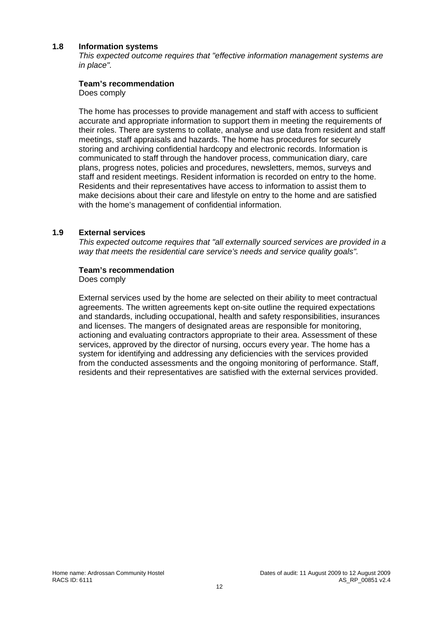#### **1.8 Information systems**

*This expected outcome requires that "effective information management systems are in place".* 

#### **Team's recommendation**

Does comply

The home has processes to provide management and staff with access to sufficient accurate and appropriate information to support them in meeting the requirements of their roles. There are systems to collate, analyse and use data from resident and staff meetings, staff appraisals and hazards. The home has procedures for securely storing and archiving confidential hardcopy and electronic records. Information is communicated to staff through the handover process, communication diary, care plans, progress notes, policies and procedures, newsletters, memos, surveys and staff and resident meetings. Resident information is recorded on entry to the home. Residents and their representatives have access to information to assist them to make decisions about their care and lifestyle on entry to the home and are satisfied with the home's management of confidential information.

#### **1.9 External services**

*This expected outcome requires that "all externally sourced services are provided in a way that meets the residential care service's needs and service quality goals".* 

#### **Team's recommendation**

Does comply

External services used by the home are selected on their ability to meet contractual agreements. The written agreements kept on-site outline the required expectations and standards, including occupational, health and safety responsibilities, insurances and licenses. The mangers of designated areas are responsible for monitoring, actioning and evaluating contractors appropriate to their area. Assessment of these services, approved by the director of nursing, occurs every year. The home has a system for identifying and addressing any deficiencies with the services provided from the conducted assessments and the ongoing monitoring of performance. Staff, residents and their representatives are satisfied with the external services provided.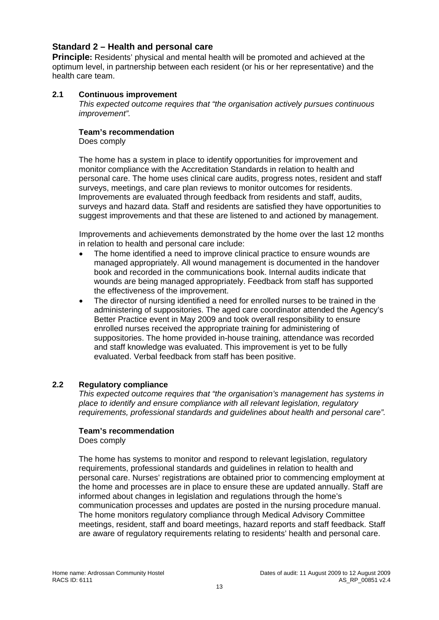# **Standard 2 – Health and personal care**

**Principle:** Residents' physical and mental health will be promoted and achieved at the optimum level, in partnership between each resident (or his or her representative) and the health care team.

#### **2.1 Continuous improvement**

*This expected outcome requires that "the organisation actively pursues continuous improvement".* 

#### **Team's recommendation**

Does comply

The home has a system in place to identify opportunities for improvement and monitor compliance with the Accreditation Standards in relation to health and personal care. The home uses clinical care audits, progress notes, resident and staff surveys, meetings, and care plan reviews to monitor outcomes for residents. Improvements are evaluated through feedback from residents and staff, audits, surveys and hazard data. Staff and residents are satisfied they have opportunities to suggest improvements and that these are listened to and actioned by management.

Improvements and achievements demonstrated by the home over the last 12 months in relation to health and personal care include:

- The home identified a need to improve clinical practice to ensure wounds are managed appropriately. All wound management is documented in the handover book and recorded in the communications book. Internal audits indicate that wounds are being managed appropriately. Feedback from staff has supported the effectiveness of the improvement.
- The director of nursing identified a need for enrolled nurses to be trained in the administering of suppositories. The aged care coordinator attended the Agency's Better Practice event in May 2009 and took overall responsibility to ensure enrolled nurses received the appropriate training for administering of suppositories. The home provided in-house training, attendance was recorded and staff knowledge was evaluated. This improvement is yet to be fully evaluated. Verbal feedback from staff has been positive.

#### **2.2 Regulatory compliance**

*This expected outcome requires that "the organisation's management has systems in place to identify and ensure compliance with all relevant legislation, regulatory requirements, professional standards and guidelines about health and personal care".* 

#### **Team's recommendation**

Does comply

The home has systems to monitor and respond to relevant legislation, regulatory requirements, professional standards and guidelines in relation to health and personal care. Nurses' registrations are obtained prior to commencing employment at the home and processes are in place to ensure these are updated annually. Staff are informed about changes in legislation and regulations through the home's communication processes and updates are posted in the nursing procedure manual. The home monitors regulatory compliance through Medical Advisory Committee meetings, resident, staff and board meetings, hazard reports and staff feedback. Staff are aware of regulatory requirements relating to residents' health and personal care.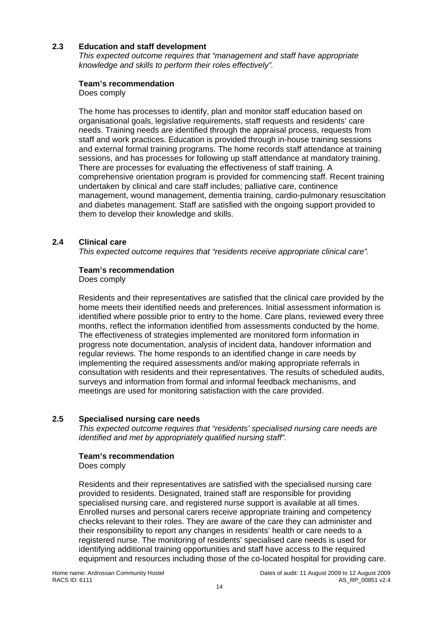# **2.3 Education and staff development**

*This expected outcome requires that "management and staff have appropriate knowledge and skills to perform their roles effectively".* 

#### **Team's recommendation**

Does comply

The home has processes to identify, plan and monitor staff education based on organisational goals, legislative requirements, staff requests and residents' care needs. Training needs are identified through the appraisal process, requests from staff and work practices. Education is provided through in-house training sessions and external formal training programs. The home records staff attendance at training sessions, and has processes for following up staff attendance at mandatory training. There are processes for evaluating the effectiveness of staff training. A comprehensive orientation program is provided for commencing staff. Recent training undertaken by clinical and care staff includes; palliative care, continence management, wound management, dementia training, cardio-pulmonary resuscitation and diabetes management. Staff are satisfied with the ongoing support provided to them to develop their knowledge and skills.

# **2.4 Clinical care**

*This expected outcome requires that "residents receive appropriate clinical care".* 

#### **Team's recommendation**

Does comply

Residents and their representatives are satisfied that the clinical care provided by the home meets their identified needs and preferences. Initial assessment information is identified where possible prior to entry to the home. Care plans, reviewed every three months, reflect the information identified from assessments conducted by the home. The effectiveness of strategies implemented are monitored form information in progress note documentation, analysis of incident data, handover information and regular reviews. The home responds to an identified change in care needs by implementing the required assessments and/or making appropriate referrals in consultation with residents and their representatives. The results of scheduled audits, surveys and information from formal and informal feedback mechanisms, and meetings are used for monitoring satisfaction with the care provided.

#### **2.5 Specialised nursing care needs**

*This expected outcome requires that "residents' specialised nursing care needs are identified and met by appropriately qualified nursing staff".* 

# **Team's recommendation**

Does comply

Residents and their representatives are satisfied with the specialised nursing care provided to residents. Designated, trained staff are responsible for providing specialised nursing care, and registered nurse support is available at all times. Enrolled nurses and personal carers receive appropriate training and competency checks relevant to their roles. They are aware of the care they can administer and their responsibility to report any changes in residents' health or care needs to a registered nurse. The monitoring of residents' specialised care needs is used for identifying additional training opportunities and staff have access to the required equipment and resources including those of the co-located hospital for providing care.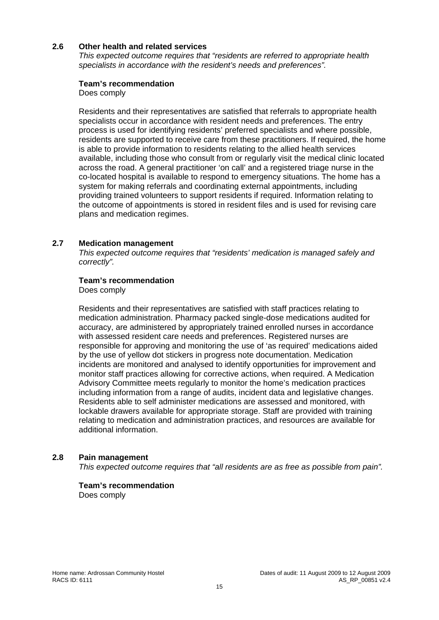#### **2.6 Other health and related services**

*This expected outcome requires that "residents are referred to appropriate health specialists in accordance with the resident's needs and preferences".* 

#### **Team's recommendation**

Does comply

Residents and their representatives are satisfied that referrals to appropriate health specialists occur in accordance with resident needs and preferences. The entry process is used for identifying residents' preferred specialists and where possible, residents are supported to receive care from these practitioners. If required, the home is able to provide information to residents relating to the allied health services available, including those who consult from or regularly visit the medical clinic located across the road. A general practitioner 'on call' and a registered triage nurse in the co-located hospital is available to respond to emergency situations. The home has a system for making referrals and coordinating external appointments, including providing trained volunteers to support residents if required. Information relating to the outcome of appointments is stored in resident files and is used for revising care plans and medication regimes.

#### **2.7 Medication management**

*This expected outcome requires that "residents' medication is managed safely and correctly".* 

#### **Team's recommendation**

Does comply

Residents and their representatives are satisfied with staff practices relating to medication administration. Pharmacy packed single-dose medications audited for accuracy, are administered by appropriately trained enrolled nurses in accordance with assessed resident care needs and preferences. Registered nurses are responsible for approving and monitoring the use of 'as required' medications aided by the use of yellow dot stickers in progress note documentation. Medication incidents are monitored and analysed to identify opportunities for improvement and monitor staff practices allowing for corrective actions, when required. A Medication Advisory Committee meets regularly to monitor the home's medication practices including information from a range of audits, incident data and legislative changes. Residents able to self administer medications are assessed and monitored, with lockable drawers available for appropriate storage. Staff are provided with training relating to medication and administration practices, and resources are available for additional information.

#### **2.8 Pain management**

*This expected outcome requires that "all residents are as free as possible from pain".* 

# **Team's recommendation**

Does comply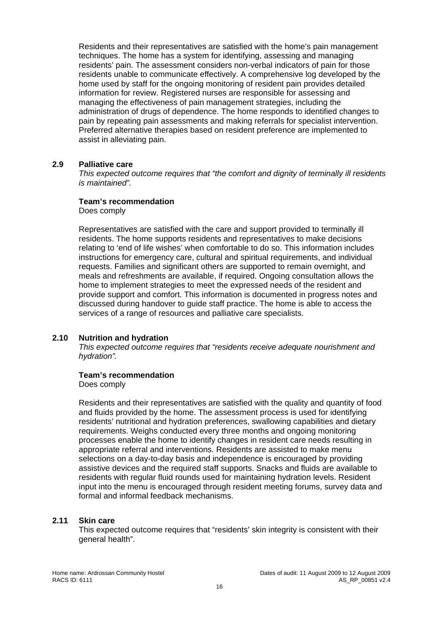Residents and their representatives are satisfied with the home's pain management techniques. The home has a system for identifying, assessing and managing residents' pain. The assessment considers non-verbal indicators of pain for those residents unable to communicate effectively. A comprehensive log developed by the home used by staff for the ongoing monitoring of resident pain provides detailed information for review. Registered nurses are responsible for assessing and managing the effectiveness of pain management strategies, including the administration of drugs of dependence. The home responds to identified changes to pain by repeating pain assessments and making referrals for specialist intervention. Preferred alternative therapies based on resident preference are implemented to assist in alleviating pain.

#### **2.9 Palliative care**

*This expected outcome requires that "the comfort and dignity of terminally ill residents is maintained".* 

#### **Team's recommendation**

Does comply

Representatives are satisfied with the care and support provided to terminally ill residents. The home supports residents and representatives to make decisions relating to 'end of life wishes' when comfortable to do so. This information includes instructions for emergency care, cultural and spiritual requirements, and individual requests. Families and significant others are supported to remain overnight, and meals and refreshments are available, if required. Ongoing consultation allows the home to implement strategies to meet the expressed needs of the resident and provide support and comfort. This information is documented in progress notes and discussed during handover to guide staff practice. The home is able to access the services of a range of resources and palliative care specialists.

#### **2.10 Nutrition and hydration**

*This expected outcome requires that "residents receive adequate nourishment and hydration".* 

#### **Team's recommendation**

Does comply

Residents and their representatives are satisfied with the quality and quantity of food and fluids provided by the home. The assessment process is used for identifying residents' nutritional and hydration preferences, swallowing capabilities and dietary requirements. Weighs conducted every three months and ongoing monitoring processes enable the home to identify changes in resident care needs resulting in appropriate referral and interventions. Residents are assisted to make menu selections on a day-to-day basis and independence is encouraged by providing assistive devices and the required staff supports. Snacks and fluids are available to residents with regular fluid rounds used for maintaining hydration levels. Resident input into the menu is encouraged through resident meeting forums, survey data and formal and informal feedback mechanisms.

#### **2.11 Skin care**

This expected outcome requires that "residents' skin integrity is consistent with their general health".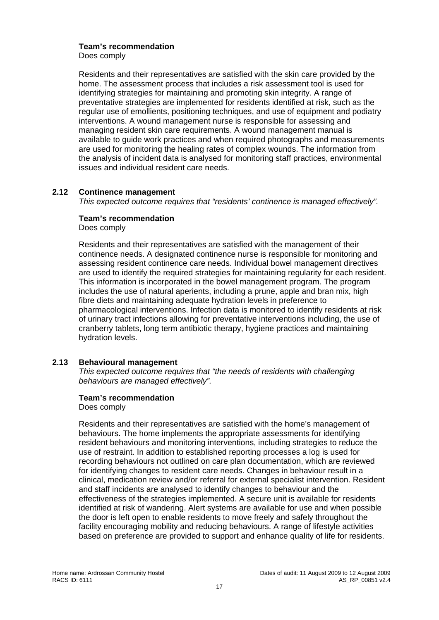#### **Team's recommendation**

Does comply

Residents and their representatives are satisfied with the skin care provided by the home. The assessment process that includes a risk assessment tool is used for identifying strategies for maintaining and promoting skin integrity. A range of preventative strategies are implemented for residents identified at risk, such as the regular use of emollients, positioning techniques, and use of equipment and podiatry interventions. A wound management nurse is responsible for assessing and managing resident skin care requirements. A wound management manual is available to guide work practices and when required photographs and measurements are used for monitoring the healing rates of complex wounds. The information from the analysis of incident data is analysed for monitoring staff practices, environmental issues and individual resident care needs.

#### **2.12 Continence management**

*This expected outcome requires that "residents' continence is managed effectively".* 

# **Team's recommendation**

Does comply

Residents and their representatives are satisfied with the management of their continence needs. A designated continence nurse is responsible for monitoring and assessing resident continence care needs. Individual bowel management directives are used to identify the required strategies for maintaining regularity for each resident. This information is incorporated in the bowel management program. The program includes the use of natural aperients, including a prune, apple and bran mix, high fibre diets and maintaining adequate hydration levels in preference to pharmacological interventions. Infection data is monitored to identify residents at risk of urinary tract infections allowing for preventative interventions including, the use of cranberry tablets, long term antibiotic therapy, hygiene practices and maintaining hydration levels.

# **2.13 Behavioural management**

*This expected outcome requires that "the needs of residents with challenging behaviours are managed effectively".* 

#### **Team's recommendation**

Does comply

Residents and their representatives are satisfied with the home's management of behaviours. The home implements the appropriate assessments for identifying resident behaviours and monitoring interventions, including strategies to reduce the use of restraint. In addition to established reporting processes a log is used for recording behaviours not outlined on care plan documentation, which are reviewed for identifying changes to resident care needs. Changes in behaviour result in a clinical, medication review and/or referral for external specialist intervention. Resident and staff incidents are analysed to identify changes to behaviour and the effectiveness of the strategies implemented. A secure unit is available for residents identified at risk of wandering. Alert systems are available for use and when possible the door is left open to enable residents to move freely and safely throughout the facility encouraging mobility and reducing behaviours. A range of lifestyle activities based on preference are provided to support and enhance quality of life for residents.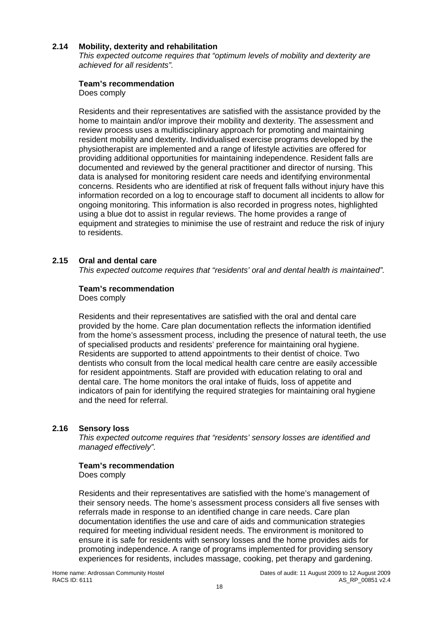#### **2.14 Mobility, dexterity and rehabilitation**

*This expected outcome requires that "optimum levels of mobility and dexterity are achieved for all residents".* 

#### **Team's recommendation**

Does comply

Residents and their representatives are satisfied with the assistance provided by the home to maintain and/or improve their mobility and dexterity. The assessment and review process uses a multidisciplinary approach for promoting and maintaining resident mobility and dexterity. Individualised exercise programs developed by the physiotherapist are implemented and a range of lifestyle activities are offered for providing additional opportunities for maintaining independence. Resident falls are documented and reviewed by the general practitioner and director of nursing. This data is analysed for monitoring resident care needs and identifying environmental concerns. Residents who are identified at risk of frequent falls without injury have this information recorded on a log to encourage staff to document all incidents to allow for ongoing monitoring. This information is also recorded in progress notes, highlighted using a blue dot to assist in regular reviews. The home provides a range of equipment and strategies to minimise the use of restraint and reduce the risk of injury to residents.

#### **2.15 Oral and dental care**

*This expected outcome requires that "residents' oral and dental health is maintained".* 

#### **Team's recommendation**

Does comply

Residents and their representatives are satisfied with the oral and dental care provided by the home. Care plan documentation reflects the information identified from the home's assessment process, including the presence of natural teeth, the use of specialised products and residents' preference for maintaining oral hygiene. Residents are supported to attend appointments to their dentist of choice. Two dentists who consult from the local medical health care centre are easily accessible for resident appointments. Staff are provided with education relating to oral and dental care. The home monitors the oral intake of fluids, loss of appetite and indicators of pain for identifying the required strategies for maintaining oral hygiene and the need for referral.

#### **2.16 Sensory loss**

*This expected outcome requires that "residents' sensory losses are identified and managed effectively".* 

#### **Team's recommendation**

Does comply

Residents and their representatives are satisfied with the home's management of their sensory needs. The home's assessment process considers all five senses with referrals made in response to an identified change in care needs. Care plan documentation identifies the use and care of aids and communication strategies required for meeting individual resident needs. The environment is monitored to ensure it is safe for residents with sensory losses and the home provides aids for promoting independence. A range of programs implemented for providing sensory experiences for residents, includes massage, cooking, pet therapy and gardening.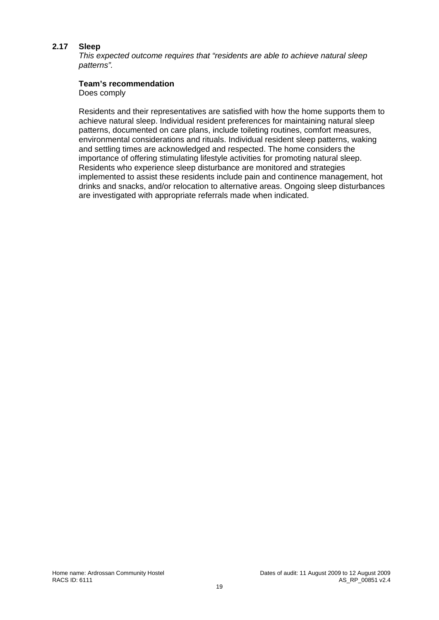#### **2.17 Sleep**

*This expected outcome requires that "residents are able to achieve natural sleep patterns".* 

#### **Team's recommendation**

Does comply

Residents and their representatives are satisfied with how the home supports them to achieve natural sleep. Individual resident preferences for maintaining natural sleep patterns, documented on care plans, include toileting routines, comfort measures, environmental considerations and rituals. Individual resident sleep patterns, waking and settling times are acknowledged and respected. The home considers the importance of offering stimulating lifestyle activities for promoting natural sleep. Residents who experience sleep disturbance are monitored and strategies implemented to assist these residents include pain and continence management, hot drinks and snacks, and/or relocation to alternative areas. Ongoing sleep disturbances are investigated with appropriate referrals made when indicated.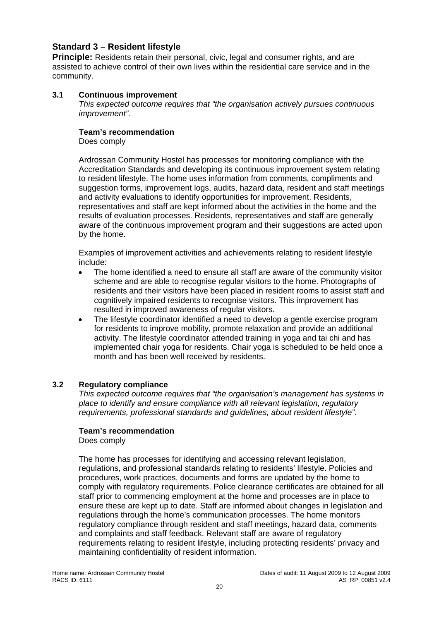# **Standard 3 – Resident lifestyle**

**Principle:** Residents retain their personal, civic, legal and consumer rights, and are assisted to achieve control of their own lives within the residential care service and in the community.

#### **3.1 Continuous improvement**

*This expected outcome requires that "the organisation actively pursues continuous improvement".* 

#### **Team's recommendation**

Does comply

Ardrossan Community Hostel has processes for monitoring compliance with the Accreditation Standards and developing its continuous improvement system relating to resident lifestyle. The home uses information from comments, compliments and suggestion forms, improvement logs, audits, hazard data, resident and staff meetings and activity evaluations to identify opportunities for improvement. Residents, representatives and staff are kept informed about the activities in the home and the results of evaluation processes. Residents, representatives and staff are generally aware of the continuous improvement program and their suggestions are acted upon by the home.

Examples of improvement activities and achievements relating to resident lifestyle include:

- The home identified a need to ensure all staff are aware of the community visitor scheme and are able to recognise regular visitors to the home. Photographs of residents and their visitors have been placed in resident rooms to assist staff and cognitively impaired residents to recognise visitors. This improvement has resulted in improved awareness of regular visitors.
- The lifestyle coordinator identified a need to develop a gentle exercise program for residents to improve mobility, promote relaxation and provide an additional activity. The lifestyle coordinator attended training in yoga and tai chi and has implemented chair yoga for residents. Chair yoga is scheduled to be held once a month and has been well received by residents.

# **3.2 Regulatory compliance**

*This expected outcome requires that "the organisation's management has systems in place to identify and ensure compliance with all relevant legislation, regulatory requirements, professional standards and guidelines, about resident lifestyle".* 

#### **Team's recommendation**

Does comply

The home has processes for identifying and accessing relevant legislation, regulations, and professional standards relating to residents' lifestyle. Policies and procedures, work practices, documents and forms are updated by the home to comply with regulatory requirements. Police clearance certificates are obtained for all staff prior to commencing employment at the home and processes are in place to ensure these are kept up to date. Staff are informed about changes in legislation and regulations through the home's communication processes. The home monitors regulatory compliance through resident and staff meetings, hazard data, comments and complaints and staff feedback. Relevant staff are aware of regulatory requirements relating to resident lifestyle, including protecting residents' privacy and maintaining confidentiality of resident information.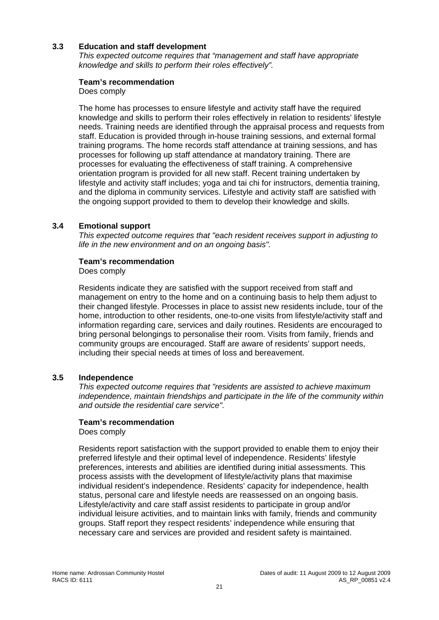# **3.3 Education and staff development**

*This expected outcome requires that "management and staff have appropriate knowledge and skills to perform their roles effectively".* 

#### **Team's recommendation**

Does comply

The home has processes to ensure lifestyle and activity staff have the required knowledge and skills to perform their roles effectively in relation to residents' lifestyle needs. Training needs are identified through the appraisal process and requests from staff. Education is provided through in-house training sessions, and external formal training programs. The home records staff attendance at training sessions, and has processes for following up staff attendance at mandatory training. There are processes for evaluating the effectiveness of staff training. A comprehensive orientation program is provided for all new staff. Recent training undertaken by lifestyle and activity staff includes; yoga and tai chi for instructors, dementia training, and the diploma in community services. Lifestyle and activity staff are satisfied with the ongoing support provided to them to develop their knowledge and skills.

#### **3.4 Emotional support**

*This expected outcome requires that "each resident receives support in adjusting to life in the new environment and on an ongoing basis".* 

#### **Team's recommendation**

#### Does comply

Residents indicate they are satisfied with the support received from staff and management on entry to the home and on a continuing basis to help them adjust to their changed lifestyle. Processes in place to assist new residents include, tour of the home, introduction to other residents, one-to-one visits from lifestyle/activity staff and information regarding care, services and daily routines. Residents are encouraged to bring personal belongings to personalise their room. Visits from family, friends and community groups are encouraged. Staff are aware of residents' support needs, including their special needs at times of loss and bereavement.

#### **3.5 Independence**

*This expected outcome requires that "residents are assisted to achieve maximum independence, maintain friendships and participate in the life of the community within and outside the residential care service".* 

#### **Team's recommendation**

Does comply

Residents report satisfaction with the support provided to enable them to enjoy their preferred lifestyle and their optimal level of independence. Residents' lifestyle preferences, interests and abilities are identified during initial assessments. This process assists with the development of lifestyle/activity plans that maximise individual resident's independence. Residents' capacity for independence, health status, personal care and lifestyle needs are reassessed on an ongoing basis. Lifestyle/activity and care staff assist residents to participate in group and/or individual leisure activities, and to maintain links with family, friends and community groups. Staff report they respect residents' independence while ensuring that necessary care and services are provided and resident safety is maintained.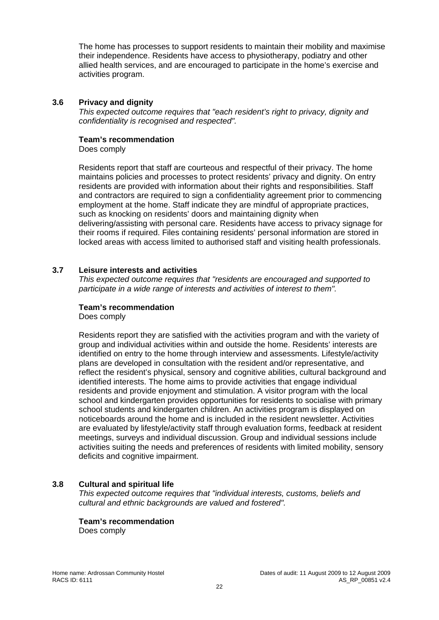The home has processes to support residents to maintain their mobility and maximise their independence. Residents have access to physiotherapy, podiatry and other allied health services, and are encouraged to participate in the home's exercise and activities program.

#### **3.6 Privacy and dignity**

*This expected outcome requires that "each resident's right to privacy, dignity and confidentiality is recognised and respected".* 

#### **Team's recommendation**

Does comply

Residents report that staff are courteous and respectful of their privacy. The home maintains policies and processes to protect residents' privacy and dignity. On entry residents are provided with information about their rights and responsibilities. Staff and contractors are required to sign a confidentiality agreement prior to commencing employment at the home. Staff indicate they are mindful of appropriate practices, such as knocking on residents' doors and maintaining dignity when delivering/assisting with personal care. Residents have access to privacy signage for their rooms if required. Files containing residents' personal information are stored in locked areas with access limited to authorised staff and visiting health professionals.

# **3.7 Leisure interests and activities**

*This expected outcome requires that "residents are encouraged and supported to participate in a wide range of interests and activities of interest to them".* 

#### **Team's recommendation**

Does comply

Residents report they are satisfied with the activities program and with the variety of group and individual activities within and outside the home. Residents' interests are identified on entry to the home through interview and assessments. Lifestyle/activity plans are developed in consultation with the resident and/or representative, and reflect the resident's physical, sensory and cognitive abilities, cultural background and identified interests. The home aims to provide activities that engage individual residents and provide enjoyment and stimulation. A visitor program with the local school and kindergarten provides opportunities for residents to socialise with primary school students and kindergarten children. An activities program is displayed on noticeboards around the home and is included in the resident newsletter. Activities are evaluated by lifestyle/activity staff through evaluation forms, feedback at resident meetings, surveys and individual discussion. Group and individual sessions include activities suiting the needs and preferences of residents with limited mobility, sensory deficits and cognitive impairment.

# **3.8 Cultural and spiritual life**

*This expected outcome requires that "individual interests, customs, beliefs and cultural and ethnic backgrounds are valued and fostered".* 

# **Team's recommendation**

Does comply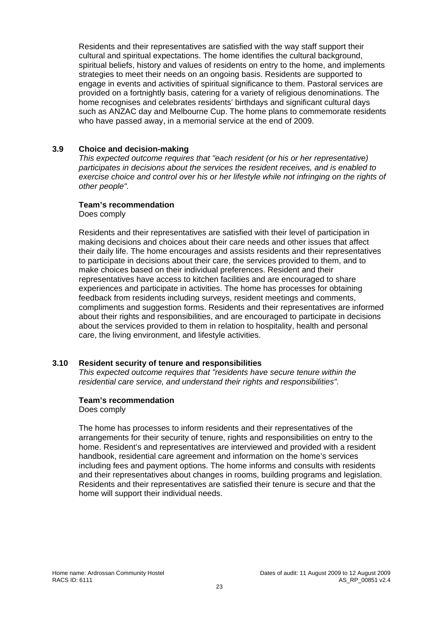Residents and their representatives are satisfied with the way staff support their cultural and spiritual expectations. The home identifies the cultural background, spiritual beliefs, history and values of residents on entry to the home, and implements strategies to meet their needs on an ongoing basis. Residents are supported to engage in events and activities of spiritual significance to them. Pastoral services are provided on a fortnightly basis, catering for a variety of religious denominations. The home recognises and celebrates residents' birthdays and significant cultural days such as ANZAC day and Melbourne Cup. The home plans to commemorate residents who have passed away, in a memorial service at the end of 2009.

### **3.9 Choice and decision-making**

*This expected outcome requires that "each resident (or his or her representative) participates in decisions about the services the resident receives, and is enabled to exercise choice and control over his or her lifestyle while not infringing on the rights of other people".* 

#### **Team's recommendation**

Does comply

Residents and their representatives are satisfied with their level of participation in making decisions and choices about their care needs and other issues that affect their daily life. The home encourages and assists residents and their representatives to participate in decisions about their care, the services provided to them, and to make choices based on their individual preferences. Resident and their representatives have access to kitchen facilities and are encouraged to share experiences and participate in activities. The home has processes for obtaining feedback from residents including surveys, resident meetings and comments, compliments and suggestion forms. Residents and their representatives are informed about their rights and responsibilities, and are encouraged to participate in decisions about the services provided to them in relation to hospitality, health and personal care, the living environment, and lifestyle activities.

#### **3.10 Resident security of tenure and responsibilities**

*This expected outcome requires that "residents have secure tenure within the residential care service, and understand their rights and responsibilities".* 

#### **Team's recommendation**

Does comply

The home has processes to inform residents and their representatives of the arrangements for their security of tenure, rights and responsibilities on entry to the home. Resident's and representatives are interviewed and provided with a resident handbook, residential care agreement and information on the home's services including fees and payment options. The home informs and consults with residents and their representatives about changes in rooms, building programs and legislation. Residents and their representatives are satisfied their tenure is secure and that the home will support their individual needs.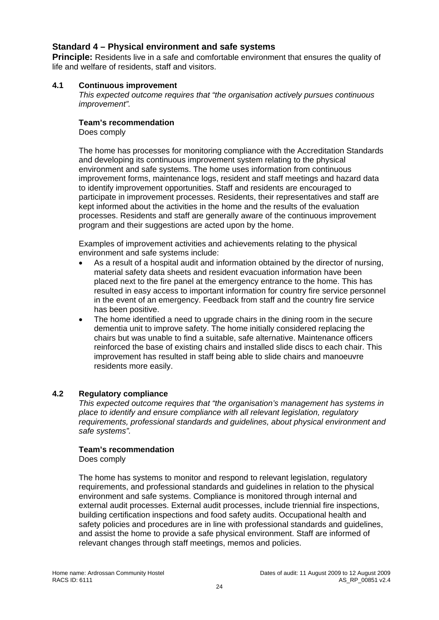# **Standard 4 – Physical environment and safe systems**

**Principle:** Residents live in a safe and comfortable environment that ensures the quality of life and welfare of residents, staff and visitors.

#### **4.1 Continuous improvement**

*This expected outcome requires that "the organisation actively pursues continuous improvement".* 

#### **Team's recommendation**

Does comply

The home has processes for monitoring compliance with the Accreditation Standards and developing its continuous improvement system relating to the physical environment and safe systems. The home uses information from continuous improvement forms, maintenance logs, resident and staff meetings and hazard data to identify improvement opportunities. Staff and residents are encouraged to participate in improvement processes. Residents, their representatives and staff are kept informed about the activities in the home and the results of the evaluation processes. Residents and staff are generally aware of the continuous improvement program and their suggestions are acted upon by the home.

Examples of improvement activities and achievements relating to the physical environment and safe systems include:

- As a result of a hospital audit and information obtained by the director of nursing, material safety data sheets and resident evacuation information have been placed next to the fire panel at the emergency entrance to the home. This has resulted in easy access to important information for country fire service personnel in the event of an emergency. Feedback from staff and the country fire service has been positive.
- The home identified a need to upgrade chairs in the dining room in the secure dementia unit to improve safety. The home initially considered replacing the chairs but was unable to find a suitable, safe alternative. Maintenance officers reinforced the base of existing chairs and installed slide discs to each chair. This improvement has resulted in staff being able to slide chairs and manoeuvre residents more easily.

# **4.2 Regulatory compliance**

*This expected outcome requires that "the organisation's management has systems in place to identify and ensure compliance with all relevant legislation, regulatory requirements, professional standards and guidelines, about physical environment and safe systems".* 

#### **Team's recommendation**

Does comply

The home has systems to monitor and respond to relevant legislation, regulatory requirements, and professional standards and guidelines in relation to the physical environment and safe systems. Compliance is monitored through internal and external audit processes. External audit processes, include triennial fire inspections, building certification inspections and food safety audits. Occupational health and safety policies and procedures are in line with professional standards and guidelines, and assist the home to provide a safe physical environment. Staff are informed of relevant changes through staff meetings, memos and policies.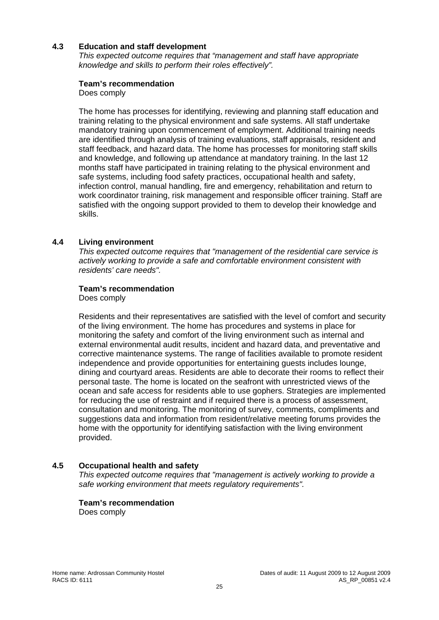# **4.3 Education and staff development**

*This expected outcome requires that "management and staff have appropriate knowledge and skills to perform their roles effectively".* 

#### **Team's recommendation**

Does comply

The home has processes for identifying, reviewing and planning staff education and training relating to the physical environment and safe systems. All staff undertake mandatory training upon commencement of employment. Additional training needs are identified through analysis of training evaluations, staff appraisals, resident and staff feedback, and hazard data. The home has processes for monitoring staff skills and knowledge, and following up attendance at mandatory training. In the last 12 months staff have participated in training relating to the physical environment and safe systems, including food safety practices, occupational health and safety, infection control, manual handling, fire and emergency, rehabilitation and return to work coordinator training, risk management and responsible officer training. Staff are satisfied with the ongoing support provided to them to develop their knowledge and skills.

#### **4.4 Living environment**

*This expected outcome requires that "management of the residential care service is actively working to provide a safe and comfortable environment consistent with residents' care needs".* 

#### **Team's recommendation**

Does comply

Residents and their representatives are satisfied with the level of comfort and security of the living environment. The home has procedures and systems in place for monitoring the safety and comfort of the living environment such as internal and external environmental audit results, incident and hazard data, and preventative and corrective maintenance systems. The range of facilities available to promote resident independence and provide opportunities for entertaining guests includes lounge, dining and courtyard areas. Residents are able to decorate their rooms to reflect their personal taste. The home is located on the seafront with unrestricted views of the ocean and safe access for residents able to use gophers. Strategies are implemented for reducing the use of restraint and if required there is a process of assessment, consultation and monitoring. The monitoring of survey, comments, compliments and suggestions data and information from resident/relative meeting forums provides the home with the opportunity for identifying satisfaction with the living environment provided.

#### **4.5 Occupational health and safety**

*This expected outcome requires that "management is actively working to provide a safe working environment that meets regulatory requirements".* 

#### **Team's recommendation**

Does comply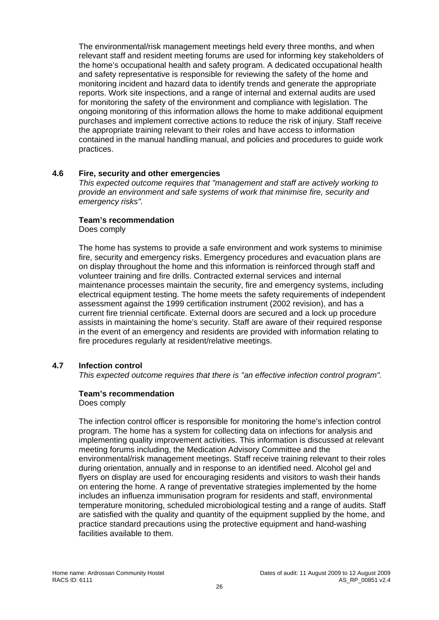The environmental/risk management meetings held every three months, and when relevant staff and resident meeting forums are used for informing key stakeholders of the home's occupational health and safety program. A dedicated occupational health and safety representative is responsible for reviewing the safety of the home and monitoring incident and hazard data to identify trends and generate the appropriate reports. Work site inspections, and a range of internal and external audits are used for monitoring the safety of the environment and compliance with legislation. The ongoing monitoring of this information allows the home to make additional equipment purchases and implement corrective actions to reduce the risk of injury. Staff receive the appropriate training relevant to their roles and have access to information contained in the manual handling manual, and policies and procedures to guide work practices.

#### **4.6 Fire, security and other emergencies**

*This expected outcome requires that "management and staff are actively working to provide an environment and safe systems of work that minimise fire, security and emergency risks".* 

#### **Team's recommendation**

Does comply

The home has systems to provide a safe environment and work systems to minimise fire, security and emergency risks. Emergency procedures and evacuation plans are on display throughout the home and this information is reinforced through staff and volunteer training and fire drills. Contracted external services and internal maintenance processes maintain the security, fire and emergency systems, including electrical equipment testing. The home meets the safety requirements of independent assessment against the 1999 certification instrument (2002 revision), and has a current fire triennial certificate. External doors are secured and a lock up procedure assists in maintaining the home's security. Staff are aware of their required response in the event of an emergency and residents are provided with information relating to fire procedures regularly at resident/relative meetings.

# **4.7 Infection control**

*This expected outcome requires that there is "an effective infection control program".* 

#### **Team's recommendation**

Does comply

The infection control officer is responsible for monitoring the home's infection control program. The home has a system for collecting data on infections for analysis and implementing quality improvement activities. This information is discussed at relevant meeting forums including, the Medication Advisory Committee and the environmental/risk management meetings. Staff receive training relevant to their roles during orientation, annually and in response to an identified need. Alcohol gel and flyers on display are used for encouraging residents and visitors to wash their hands on entering the home. A range of preventative strategies implemented by the home includes an influenza immunisation program for residents and staff, environmental temperature monitoring, scheduled microbiological testing and a range of audits. Staff are satisfied with the quality and quantity of the equipment supplied by the home, and practice standard precautions using the protective equipment and hand-washing facilities available to them.